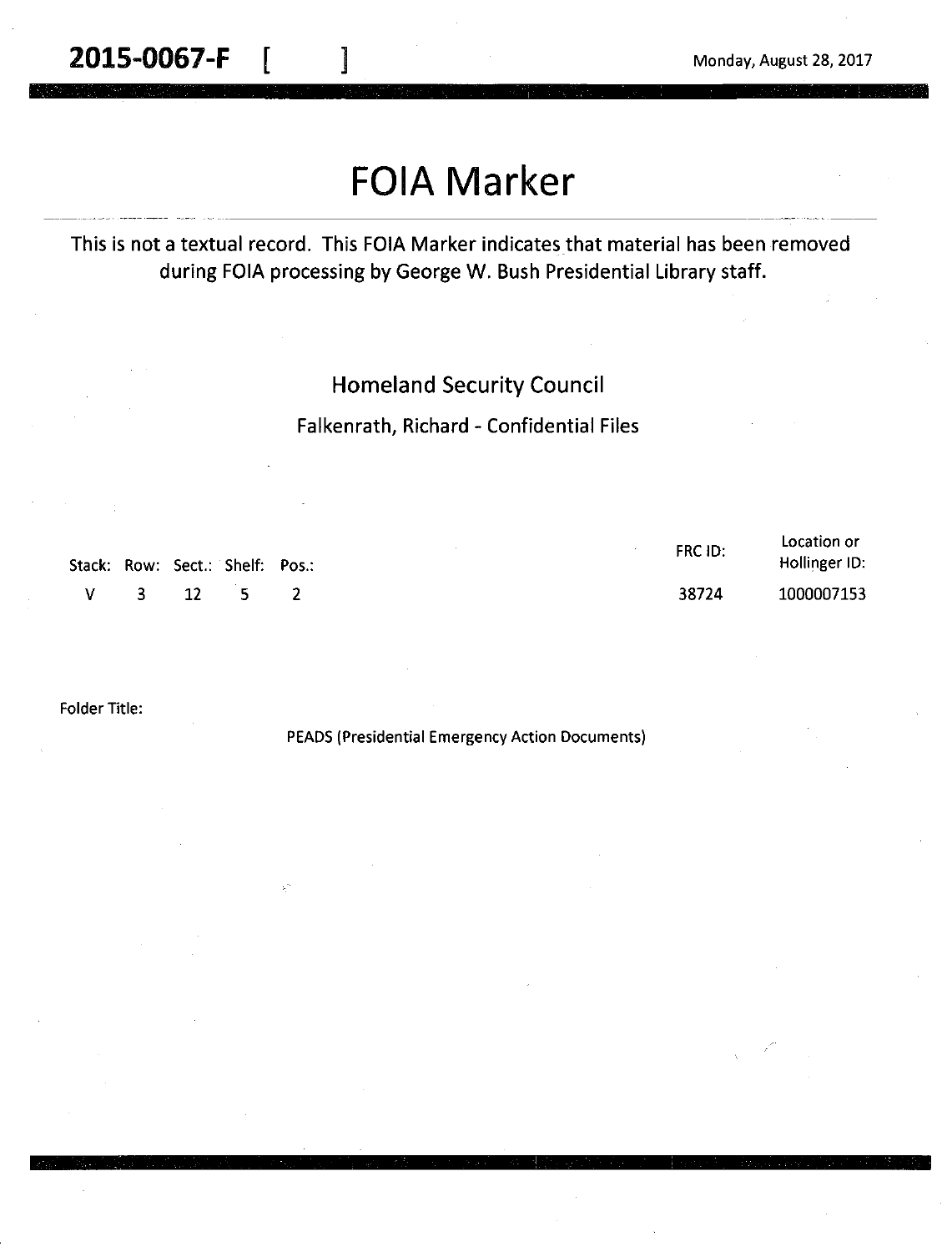# **FOIA Marker**

#### This is not a textual record. This FOIA Marker indicates that material has been removed during FOIA processing by George W. Bush Presidential Library staff.

#### Homeland Security Council

#### Falkenrath, Richard - Confidential Files

| Stack: Row: Sect.: Shelf: Pos.: |  |        | FRC ID: | Location or<br>Hollinger ID: |
|---------------------------------|--|--------|---------|------------------------------|
| $\mathbf{V}$                    |  | 3 12 5 | 38724   | 1000007153                   |

Folder Title:

PEADS (Presidential Emergency Action Documents)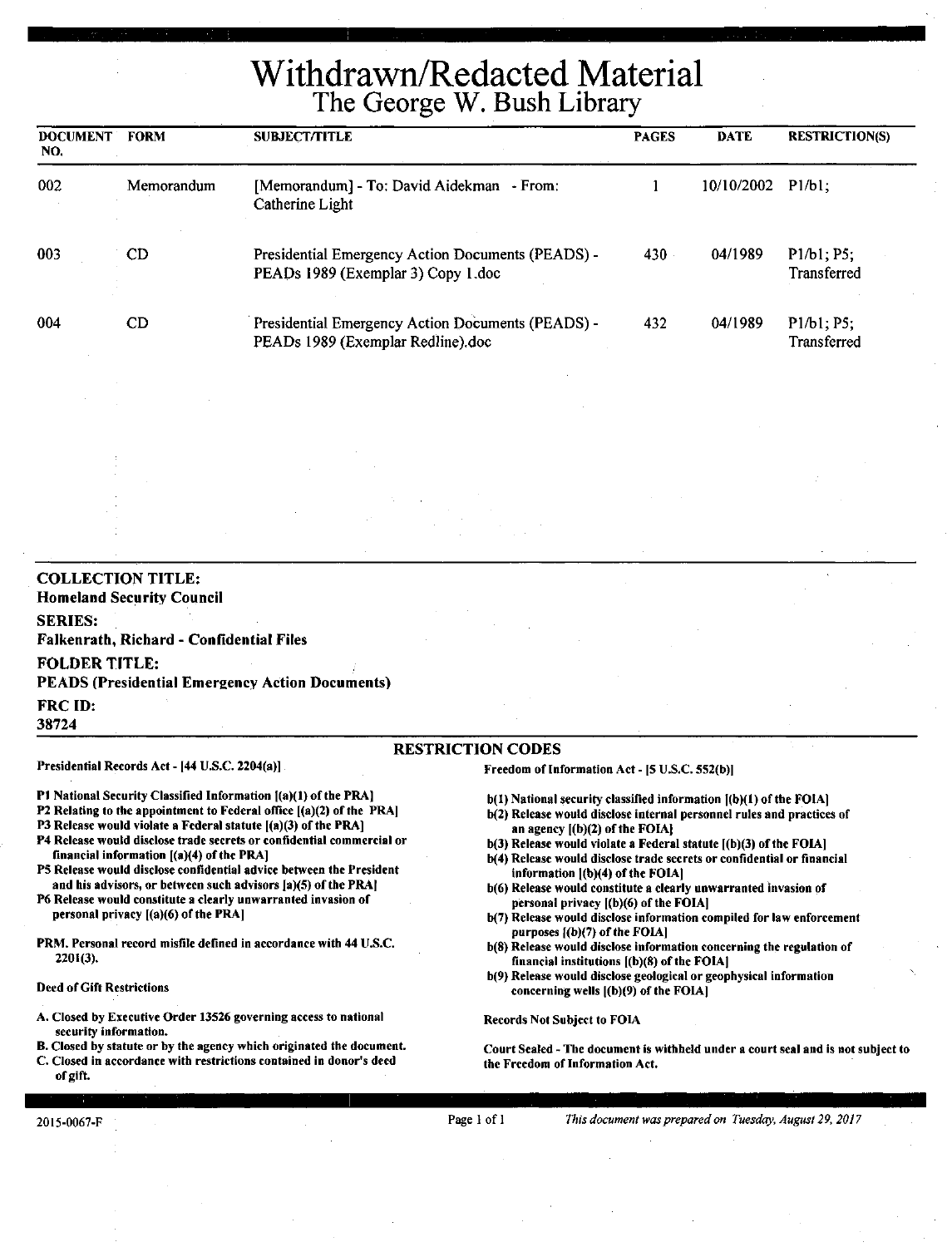# Withdrawn/Redacted Material The George W. Bush Library

| <b>DOCUMENT</b><br>NO. | <b>FORM</b> | <b>SUBJECT/TITLE</b>                                                                    | <b>PAGES</b> | <b>DATE</b>       | <b>RESTRICTION(S)</b>     |
|------------------------|-------------|-----------------------------------------------------------------------------------------|--------------|-------------------|---------------------------|
| 002                    | Memorandum  | [Memorandum] - To: David Aidekman - From:<br>Catherine Light                            |              | 10/10/2002 P1/b1; |                           |
| 003                    | CD.         | Presidential Emergency Action Documents (PEADS) -<br>PEADs 1989 (Exemplar 3) Copy 1.doc | 430          | 04/1989           | P1/b1; P5;<br>Transferred |
| 004                    | CD          | Presidential Emergency Action Documents (PEADS) -<br>PEADs 1989 (Exemplar Redline).doc  | 432          | 04/1989           | P1/b1; P5:<br>Transferred |

#### **COLLECTION TITLE: Homeland Security Council SERIES: Falkenrath, Richard** - **Confidential Files FOLDER TITLE: PEADS (Presidential Emergency Action Documents)**  FRC ID: **38724**

Presidential Records Act- (44 U.S.C. 2204(a)]

RESTRICTION CODES

Freedom of Information Act- IS U.S.C. 552(b))

- P1 National Security Classified Information [(a)(1) of the PRA]
- P2 Relating to the appointment to Federal office  $[(a)(2)$  of the PRA]
- P3 Release would violate a Federal statute [(a)(3) of the PRA]
- P4 Release would disclose trade secrets or confidential commercial or financial information ((a)(4) of the PRA]
- PS Release would disclose confidential advice between the President and his advisors, or between such advisors [a)(5) of the PRA]
- P6 Release would constitute a clearly unwarranted invasion of personal privacy [(a)(6) of the PRA)
- PRM. Personal record misfile defined in accordance with 44 U.S.C. 2201(3).

#### Deed of Gift Restrictions

- A. Closed by Executive Order 13526 governing access to national security information.
- B. Closed by statute or by the agency which originated the document.
- C. Closed in accordance with restrictions contained in donor's deed of gift.
- $b(1)$  National security classified information  $(a)(1)$  of the FOIA)
- b(2) Release would disclose internal personnel rules and practices of an agency ((b)(2) of the FOIAJ
- $b(3)$  Release would violate a Federal statute  $[(b)(3)$  of the FOIA]
- b(4) Release would disclose trade secrets or confidential or financial information J(b)(4) of the FOIAJ
- b(6) Release would constitute a clearly unwarranted invasion of personal privacy ((b)(6) of the FOIAJ
- b(7) Release would disclose information compiled for law enforcement purposes ((b)(7) of the FOIAJ
- b(S) Release would disclose information concerning the regulation of financial institutions ((b)(8) of the FOIA)
- b(9) Release would disclose geological or geophysical information concerning wells ((b)(9) of the FOIA)

Records Not Subject to FOIA

Court Sealed - The document is withheld under a court seal and is not subject to the Freedom of Information Act.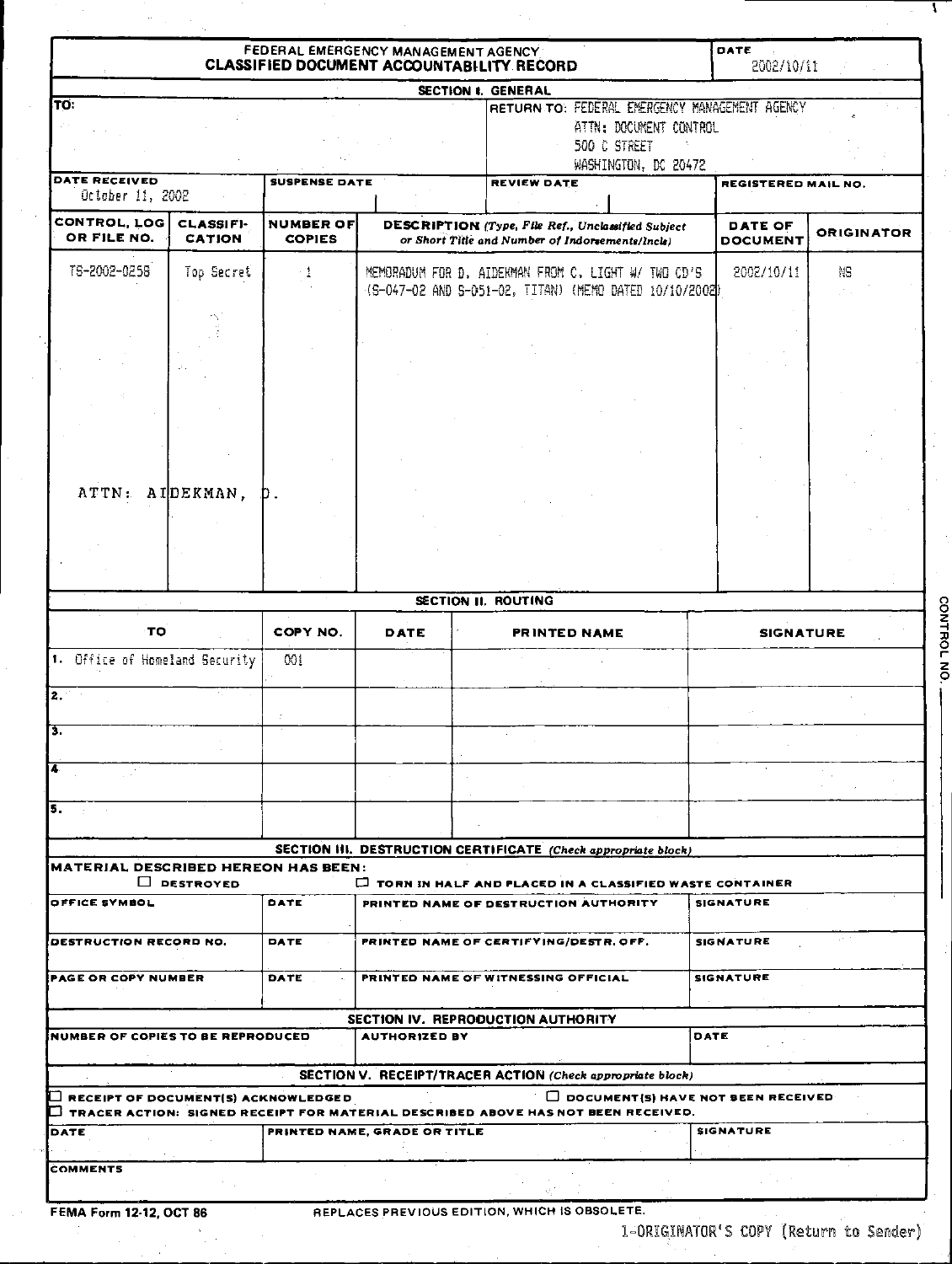|                                            |                                   |                                   | FEDERAL EMERGENCY MANAGEMENT AGENCY<br><b>CLASSIFIED DOCUMENT ACCOUNTABILITY RECORD</b>  |                                                                                                                  |                                           | DATE<br>2002/10/11                |                   |
|--------------------------------------------|-----------------------------------|-----------------------------------|------------------------------------------------------------------------------------------|------------------------------------------------------------------------------------------------------------------|-------------------------------------------|-----------------------------------|-------------------|
|                                            |                                   |                                   | SECTION I. GENERAL                                                                       |                                                                                                                  |                                           |                                   |                   |
| TO.<br>DATE RECEIVED                       |                                   | <b>SUSPENSE DATE</b>              |                                                                                          | RETURN TO: FEDERAL EMERGENCY MANAGEMENT AGENCY<br>ATTN: DOCUMENT CONTROL<br>500 C STREET<br>WASHINGTON, DC 20472 |                                           |                                   |                   |
| October 11, 2002                           |                                   |                                   |                                                                                          | REVIEW DATE                                                                                                      |                                           | REGISTERED MAIL NO.               |                   |
| CONTROL, LOG<br>OR FILE NO.                | <b>CLASSIFI-</b><br><b>CATION</b> | <b>NUMBER OF</b><br><b>COPIES</b> |                                                                                          | DESCRIPTION (Type, File Ref., Unclassified Subject<br>or Short Title and Number of Indorsements/Incla)           |                                           | <b>DATE OF</b><br><b>DOCUMENT</b> | <b>ORIGINATOR</b> |
| T6-2002-0258                               | Top Secret                        | - 1                               |                                                                                          | MEMORADUM FOR D. AIDEKMAN FROM C. LIGHT W/ TWO CD'S<br>(G-047-02 AND G-051-02, TITAN) (MEMO DATED 10/10/2002)    |                                           | 2002/10/11                        | Ņβ                |
|                                            |                                   |                                   |                                                                                          |                                                                                                                  |                                           |                                   |                   |
|                                            |                                   |                                   |                                                                                          |                                                                                                                  |                                           |                                   |                   |
|                                            |                                   |                                   |                                                                                          |                                                                                                                  |                                           |                                   |                   |
| ATTN: AIDEKMAN,                            |                                   | D.                                |                                                                                          |                                                                                                                  |                                           |                                   |                   |
|                                            |                                   |                                   |                                                                                          |                                                                                                                  |                                           |                                   |                   |
|                                            |                                   |                                   |                                                                                          |                                                                                                                  |                                           |                                   |                   |
|                                            |                                   |                                   | SECTION II. ROUTING                                                                      |                                                                                                                  |                                           |                                   |                   |
| TO.                                        |                                   | COPY NO.                          | DATE                                                                                     | PRINTED NAME                                                                                                     |                                           | <b>SIGNATURE</b>                  |                   |
| 1. Office of Homeland Security             |                                   | 00i                               |                                                                                          |                                                                                                                  |                                           |                                   |                   |
| $\overline{2}$<br>টি.                      |                                   |                                   |                                                                                          |                                                                                                                  |                                           |                                   |                   |
| T                                          |                                   |                                   |                                                                                          |                                                                                                                  |                                           |                                   |                   |
| $\overline{\mathbf{5}}$                    |                                   |                                   |                                                                                          |                                                                                                                  |                                           |                                   |                   |
|                                            |                                   |                                   |                                                                                          |                                                                                                                  |                                           |                                   |                   |
| <b>MATERIAL DESCRIBED HEREON HAS BEEN:</b> |                                   |                                   | SECTION III. DESTRUCTION CERTIFICATE (Check appropriate block)                           |                                                                                                                  |                                           |                                   |                   |
|                                            | $\Box$ DESTROYED                  |                                   | <b>D</b> TORN IN HALF AND PLACED IN A CLASSIFIED WASTE CONTAINER                         |                                                                                                                  |                                           |                                   |                   |
| OFFICE SYMBOL                              |                                   | DATE                              |                                                                                          | PRINTED NAME OF DESTRUCTION AUTHORITY                                                                            |                                           | <b>SIGNATURE</b>                  |                   |
| DESTRUCTION RECORD NO.                     |                                   | DATE                              | PRINTED NAME OF CERTIFYING/DESTR. OFF.                                                   |                                                                                                                  | <b>SIGNATURE</b>                          |                                   |                   |
| <b>PAGE OR COPY NUMBER</b>                 |                                   | DATE                              |                                                                                          | PRINTED NAME OF WITNESSING OFFICIAL                                                                              |                                           | <b>SIGNATURE</b>                  |                   |
| NUMBER OF COPIES TO BE REPRODUCED          |                                   |                                   | SECTION IV. REPRODUCTION AUTHORITY<br><b>AUTHORIZED BY</b>                               |                                                                                                                  | DATE                                      |                                   |                   |
|                                            |                                   |                                   | <b>SECTION V. RECEIPT/TRACER ACTION (Check appropriate block)</b>                        |                                                                                                                  |                                           |                                   |                   |
| $\Box$ RECEIPT OF DOCUMENT(S) ACKNOWLEDGED |                                   |                                   | $\Box$ TRACER ACTION: SIGNED RECEIPT FOR MATERIAL DESCRIBED ABOVE HAS NOT BEEN RECEIVED. |                                                                                                                  | $\Box$ DOCUMENT(S) HAVE NOT BEEN RECEIVED |                                   |                   |
| DATE                                       |                                   |                                   | PRINTED NAME, GRADE OR TITLE                                                             |                                                                                                                  |                                           | <b>SIGNATURE</b>                  |                   |
| <b>COMMENTS</b>                            |                                   |                                   |                                                                                          |                                                                                                                  |                                           |                                   |                   |

 $\hat{\mathcal{A}}$ 

 $\mathbf{I}$ 

CONTROL NO.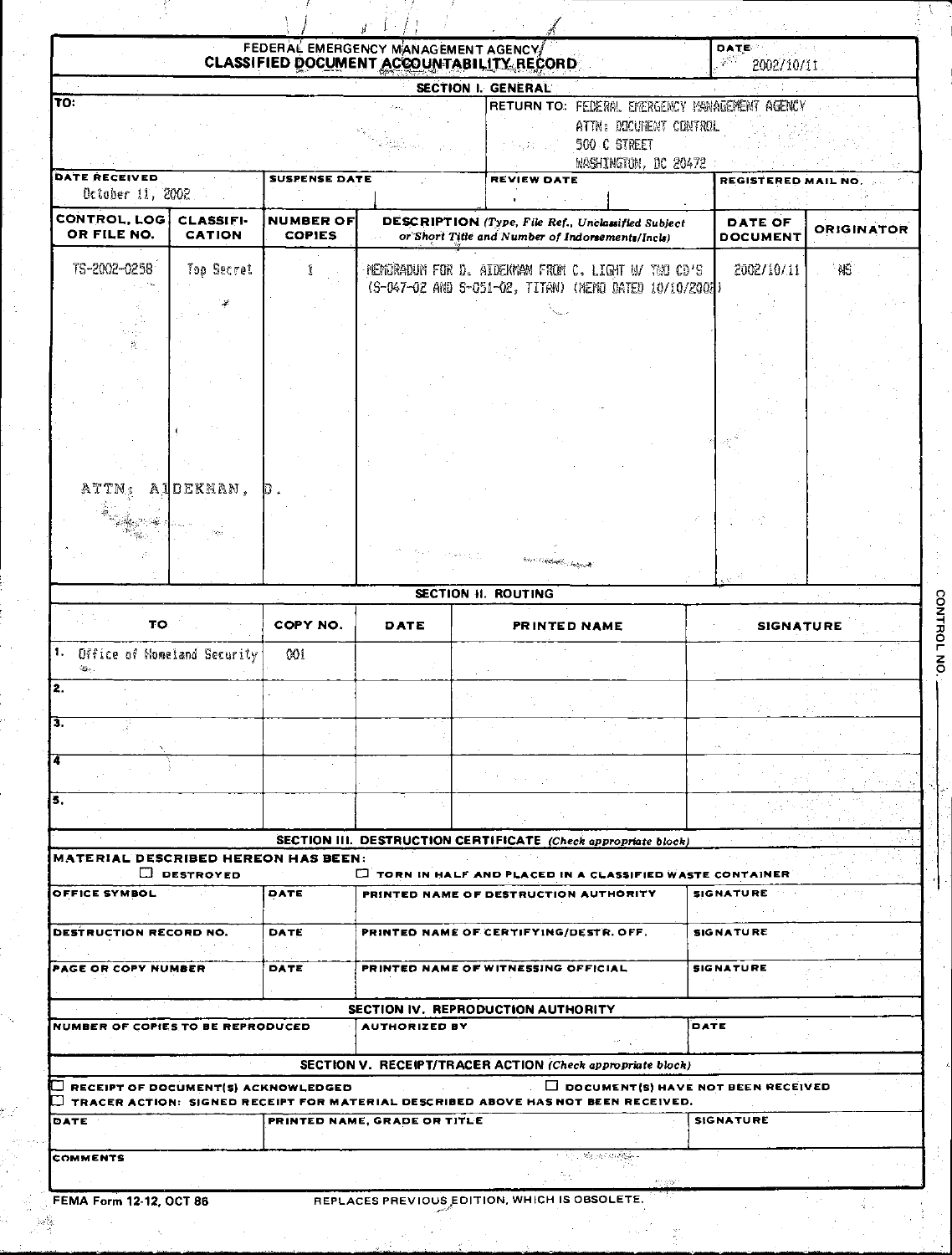|                                            |                  |                      | FEDERAL EMERGENCY MANAGEMENT AGENCY<br>CLASSIFIED DOCUMENT ACCOUNTABILITY RECORD |                                                                                                                                  |      | DATE<br>$\mathcal{P}^{\mathcal{C}}$<br>2002/10/11 |                   |
|--------------------------------------------|------------------|----------------------|----------------------------------------------------------------------------------|----------------------------------------------------------------------------------------------------------------------------------|------|---------------------------------------------------|-------------------|
|                                            |                  |                      |                                                                                  | SECTION I. GENERAL                                                                                                               |      |                                                   |                   |
| TO:                                        |                  |                      |                                                                                  | <b>RETURN TO: FELERAL EKERGENCY MANAGEMENT AGENCY</b><br>ATTN: DOCUTENT CONTROL<br>500 C STREET<br>かき 岩石<br>WASHINGTON, DC 20472 |      |                                                   |                   |
| DATE RECEIVED<br>October 11, 2002          |                  | <b>SUSPENSE DATE</b> |                                                                                  | REVIEW DATE                                                                                                                      |      | REGISTERED MAIL NO                                |                   |
| CONTROL, LOG<br>OR FILE NO.                | <b>CLASSIFI-</b> | NUMBER OF            |                                                                                  | DESCRIPTION (Type, File Ref., Unclassified Subject                                                                               |      | DATE OF                                           | <b>ORIGINATOR</b> |
|                                            | <b>CATION</b>    | <b>COPIES</b>        |                                                                                  | or Short Title and Number of Indorsements/Incls)                                                                                 |      | <b>DOCUMENT</b>                                   |                   |
| TS-2002-0258                               | Top Secret       | f                    |                                                                                  | HEMORADUM FOR D. AIDENMAN FROM C. LIGHT N/ TWO CD'S<br>(S-047-02 AND S-051-02, TITAN) (NEND DATED 10/10/2002)                    |      | 2002/10/11                                        | ' NČ              |
|                                            |                  |                      |                                                                                  |                                                                                                                                  |      |                                                   |                   |
|                                            |                  |                      |                                                                                  |                                                                                                                                  |      |                                                   |                   |
|                                            |                  |                      |                                                                                  |                                                                                                                                  |      |                                                   |                   |
|                                            |                  |                      |                                                                                  |                                                                                                                                  |      |                                                   |                   |
| ATTN:                                      | AIDEKMAN,        | IJ.                  |                                                                                  |                                                                                                                                  |      |                                                   |                   |
|                                            |                  |                      |                                                                                  |                                                                                                                                  |      |                                                   |                   |
|                                            |                  |                      |                                                                                  | <b>Book of Additional Company of</b>                                                                                             |      |                                                   |                   |
|                                            |                  |                      |                                                                                  | <b>SECTION H. ROUTING</b>                                                                                                        |      |                                                   |                   |
| TO.                                        |                  | COPY NO.             | DATE                                                                             | PRINTED NAME                                                                                                                     |      | <b>SIGNATURE</b>                                  |                   |
| 1. Office of Momeland Security             |                  | 001                  |                                                                                  |                                                                                                                                  |      |                                                   |                   |
| İ2.                                        |                  |                      |                                                                                  |                                                                                                                                  |      |                                                   |                   |
| Β.                                         |                  |                      |                                                                                  |                                                                                                                                  |      |                                                   |                   |
| Ĩ4                                         |                  |                      |                                                                                  |                                                                                                                                  |      |                                                   |                   |
| 5.                                         |                  |                      |                                                                                  |                                                                                                                                  |      |                                                   |                   |
|                                            |                  |                      |                                                                                  | SECTION III. DESTRUCTION CERTIFICATE (Check appropriate block)                                                                   |      |                                                   |                   |
| <b>MATERIAL DESCRIBED HEREON HAS BEEN:</b> | D DESTROYED      |                      |                                                                                  | <b>TORN IN HALF AND PLACED IN A CLASSIFIED WASTE CONTAINER</b>                                                                   |      |                                                   |                   |
| <b>OFFICE SYMBOL</b>                       |                  | DATE                 |                                                                                  | PRINTED NAME OF DESTRUCTION AUTHORITY                                                                                            |      | SIGNATURE                                         |                   |
| <b>DESTRUCTION RECORD NO.</b>              |                  | DATE                 |                                                                                  | PRINTED NAME OF CERTIFYING/DESTR. OFF.                                                                                           |      | <b>SIGNATURE</b>                                  |                   |
| <b>PAGE OR COPY NUMBER</b>                 |                  | DATE                 |                                                                                  | PRINTED NAME OF WITNESSING OFFICIAL                                                                                              |      | <b>SIGNATURE</b>                                  |                   |
| NUMBER OF COPIES TO BE REPRODUCED          |                  |                      | <b>AUTHORIZED BY</b>                                                             | SECTION IV. REPRODUCTION AUTHORITY                                                                                               | DATE |                                                   |                   |
|                                            |                  |                      |                                                                                  |                                                                                                                                  |      |                                                   |                   |
| RECEIPT OF DOCUMENT(S) ACKNOWLEDGED        |                  |                      |                                                                                  | SECTION V. RECEIPT/TRACER ACTION (Check appropriate block)<br>$\Box$ DOCUMENT(S) HAVE NOT BEEN RECEIVED                          |      |                                                   |                   |
| DATE                                       |                  |                      | PRINTED NAME, GRADE OR TITLE                                                     | TRACER ACTION: SIGNED RECEIPT FOR MATERIAL DESCRIBED ABOVE HAS NOT BEEN RECEIVED.                                                |      | <b>SIGNATURE</b>                                  |                   |
|                                            |                  |                      |                                                                                  |                                                                                                                                  |      |                                                   |                   |
| COMMENTS                                   |                  |                      |                                                                                  | Standard Bank<br>的 (微气                                                                                                           |      |                                                   |                   |

FEMA Form 12-12, OCT 86

神能

t.

REPLACES PREVIOUS EDITION, WHICH IS OBSOLETE.

 $\bar{z}$ 

 $\mathcal{A}^{\pm}$  $\gamma_{\rm d}$ 

CONTROL NO.

r.

 $\frac{1}{\frac{1}{\sqrt{2}}}$ 

ī,

 $\mathcal{F}_\mathrm{c}$ 

 $\frac{d^2}{dt^2}$ 

 $\sim 10^{-2}$ 

 $\frac{d}{dt}$  .

 $\frac{1}{2}$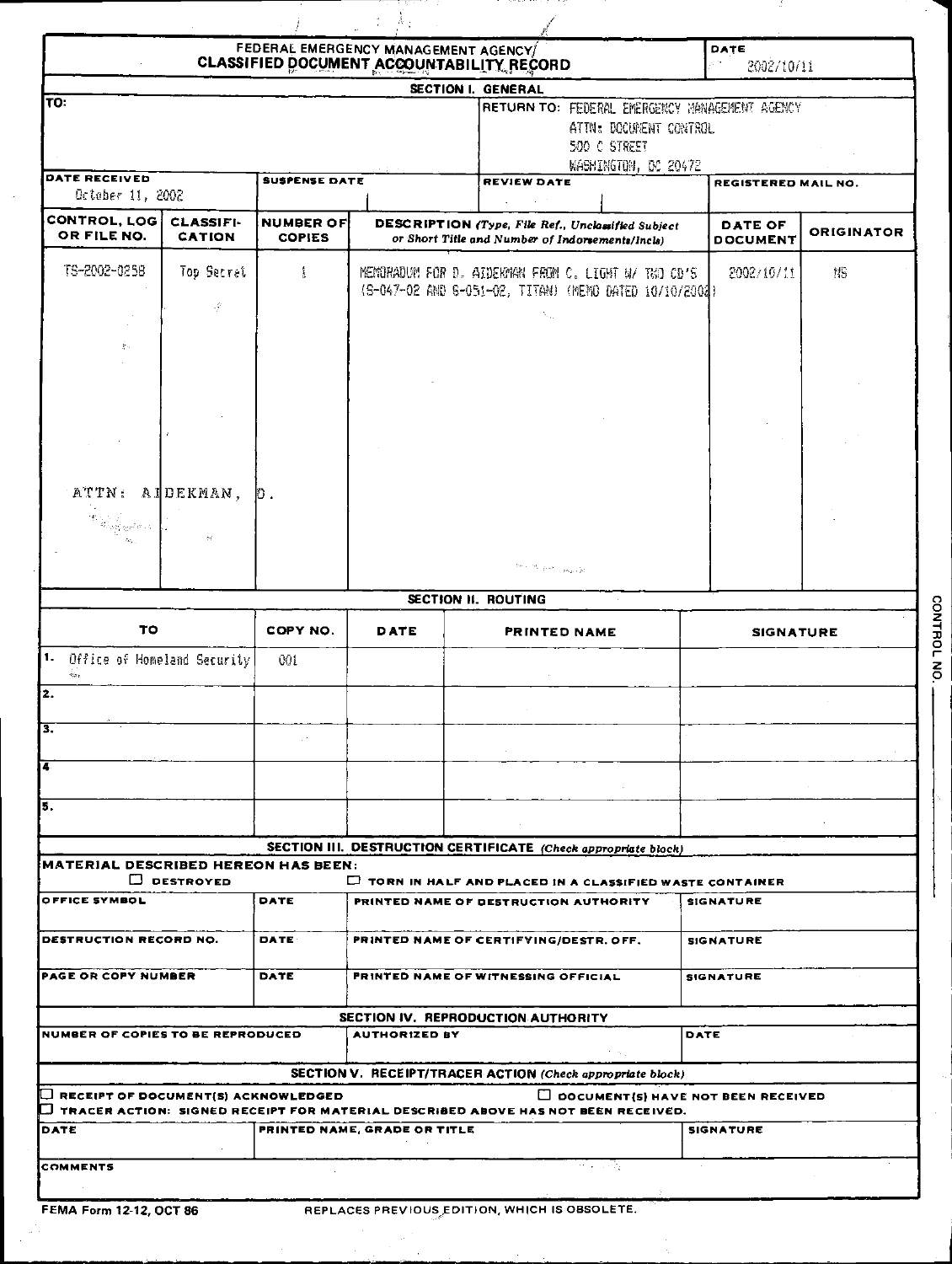|                                                                                                        |                                   |                                   | FEDERAL EMERGENCY MANAGEMENT AGENCY<br>CLASSIFIED DOCUMENT ACCOUNTABILITY RECORD |                                                                                                                                                                                              |      | DATE<br>2002/10/11                |                   |
|--------------------------------------------------------------------------------------------------------|-----------------------------------|-----------------------------------|----------------------------------------------------------------------------------|----------------------------------------------------------------------------------------------------------------------------------------------------------------------------------------------|------|-----------------------------------|-------------------|
|                                                                                                        |                                   |                                   |                                                                                  | SECTION I. GENERAL                                                                                                                                                                           |      |                                   |                   |
| TO:                                                                                                    |                                   |                                   |                                                                                  | RETURN TO: FEDERAL EMERGENCY MANAGEMENT AGENCY<br>ATTN: DOCUMENT CONTROL<br>500 C STREET                                                                                                     |      |                                   |                   |
| DATE RECEIVED                                                                                          |                                   |                                   |                                                                                  | WASHINGTON, DC 20472                                                                                                                                                                         |      |                                   |                   |
| Detaber 11, 2002                                                                                       |                                   | <b>SUSPENSE DATE</b>              |                                                                                  | REVIEW DATE                                                                                                                                                                                  |      | REGISTERED MAIL NO.               |                   |
| CONTROL, LOG<br>OR FILE NO.                                                                            | <b>CLASSIFI-</b><br><b>CATION</b> | <b>NUMBER OF</b><br><b>COPIES</b> |                                                                                  | DESCRIPTION (Type, File Ref., Unclassified Subject<br>or Short Title and Number of Indorsements/Incls)                                                                                       |      | <b>DATE OF</b><br><b>DOCUMENT</b> | <b>ORIGINATOR</b> |
| TS-2002-0258<br>Top Secret                                                                             |                                   | 1                                 |                                                                                  | MEMORADUM FOR D. AIDENMAN FROM C. LIGHT W/ TWO CD'S<br>(S-047-02 AND S-051-02, TITAN) (MEMO DATED 10/10/2002)                                                                                |      | 2002/10/11                        | N5                |
|                                                                                                        | -9                                |                                   |                                                                                  | х,                                                                                                                                                                                           |      |                                   |                   |
| 割.                                                                                                     |                                   |                                   |                                                                                  |                                                                                                                                                                                              |      |                                   |                   |
|                                                                                                        |                                   |                                   |                                                                                  |                                                                                                                                                                                              |      |                                   |                   |
|                                                                                                        |                                   |                                   |                                                                                  |                                                                                                                                                                                              |      |                                   |                   |
| ATTN:                                                                                                  | AIDEKMAN,                         | 担.                                |                                                                                  |                                                                                                                                                                                              |      |                                   |                   |
| $\alpha_{\rm DM}$ and $\gamma_{\rm DM}$ and $\alpha_{\rm DM}$                                          |                                   |                                   |                                                                                  |                                                                                                                                                                                              |      |                                   |                   |
|                                                                                                        |                                   |                                   |                                                                                  | $\hat{\sigma}^{\mu\nu} \leftarrow \delta V_{\mu\nu} \hat{\rho}^{\mu} \hat{\sigma}^{\nu} = \rho \kappa_{QCD}[\hat{\rho}]$                                                                     |      |                                   |                   |
|                                                                                                        |                                   |                                   |                                                                                  | SECTION II. ROUTING                                                                                                                                                                          |      |                                   |                   |
| TO                                                                                                     |                                   | COPY NO.                          | DATE                                                                             | PRINTED NAME                                                                                                                                                                                 |      | <b>SIGNATURE</b>                  |                   |
| 1.<br>Office of Homeland Security<br>$\mathbf{u}_{\mathrm{Q},\mathrm{b}}$<br>$\overline{\mathbf{2}}$ . |                                   | Wi                                |                                                                                  |                                                                                                                                                                                              |      |                                   |                   |
| П.                                                                                                     |                                   |                                   |                                                                                  |                                                                                                                                                                                              |      |                                   |                   |
|                                                                                                        |                                   |                                   |                                                                                  |                                                                                                                                                                                              |      |                                   |                   |
| 5.                                                                                                     |                                   |                                   |                                                                                  |                                                                                                                                                                                              |      |                                   |                   |
|                                                                                                        |                                   |                                   |                                                                                  | SECTION III. DESTRUCTION CERTIFICATE (Check appropriate block)                                                                                                                               |      |                                   |                   |
| <b>MATERIAL DESCRIBED HEREON HAS BEEN:</b>                                                             |                                   |                                   |                                                                                  |                                                                                                                                                                                              |      |                                   |                   |
| OFFICE SYMBOL                                                                                          | D DESTROYED                       | DATE                              |                                                                                  | <b>C TORN IN HALF AND PLACED IN A CLASSIFIED WASTE CONTAINER</b><br>PRINTED NAME OF DESTRUCTION AUTHORITY                                                                                    |      | <b>SIGNATURE</b>                  |                   |
| DESTRUCTION RECORD NO.                                                                                 |                                   | <b>DATE</b>                       |                                                                                  | PRINTED NAME OF CERTIFYING/DESTR. OFF.                                                                                                                                                       |      | <b>SIGNATURE</b>                  |                   |
| <b>PAGE OR COPY NUMBER</b>                                                                             |                                   | DATE                              |                                                                                  | PRINTED NAME OF WITNESSING OFFICIAL                                                                                                                                                          |      | SIGNATURE                         |                   |
| NUMBER OF COPIES TO BE REPRODUCED                                                                      |                                   |                                   | <b>AUTHORIZED BY</b>                                                             | SECTION IV. REPRODUCTION AUTHORITY                                                                                                                                                           | DATE |                                   |                   |
|                                                                                                        |                                   |                                   |                                                                                  |                                                                                                                                                                                              |      |                                   |                   |
| → RECEIPT OF DOCUMENT{S} ACKNOWLEDGED                                                                  |                                   |                                   |                                                                                  | SECTION V. RECEIPT/TRACER ACTION (Check appropriate block)<br>DOCUMENT(S) HAVE NOT BEEN RECEIVED<br>$\Box$ tracer action: signed receipt for material described above has not been received. |      |                                   |                   |
| DATE                                                                                                   |                                   |                                   | PRINTED NAME, GRADE OR TITLE                                                     |                                                                                                                                                                                              |      | <b>SIGNATURE</b>                  |                   |

FEMA Form 12-12, OCT 86

 $\hat{\theta}$ 

 $\mathcal{A}_\mathbf{a}$ 

CONTROL NO.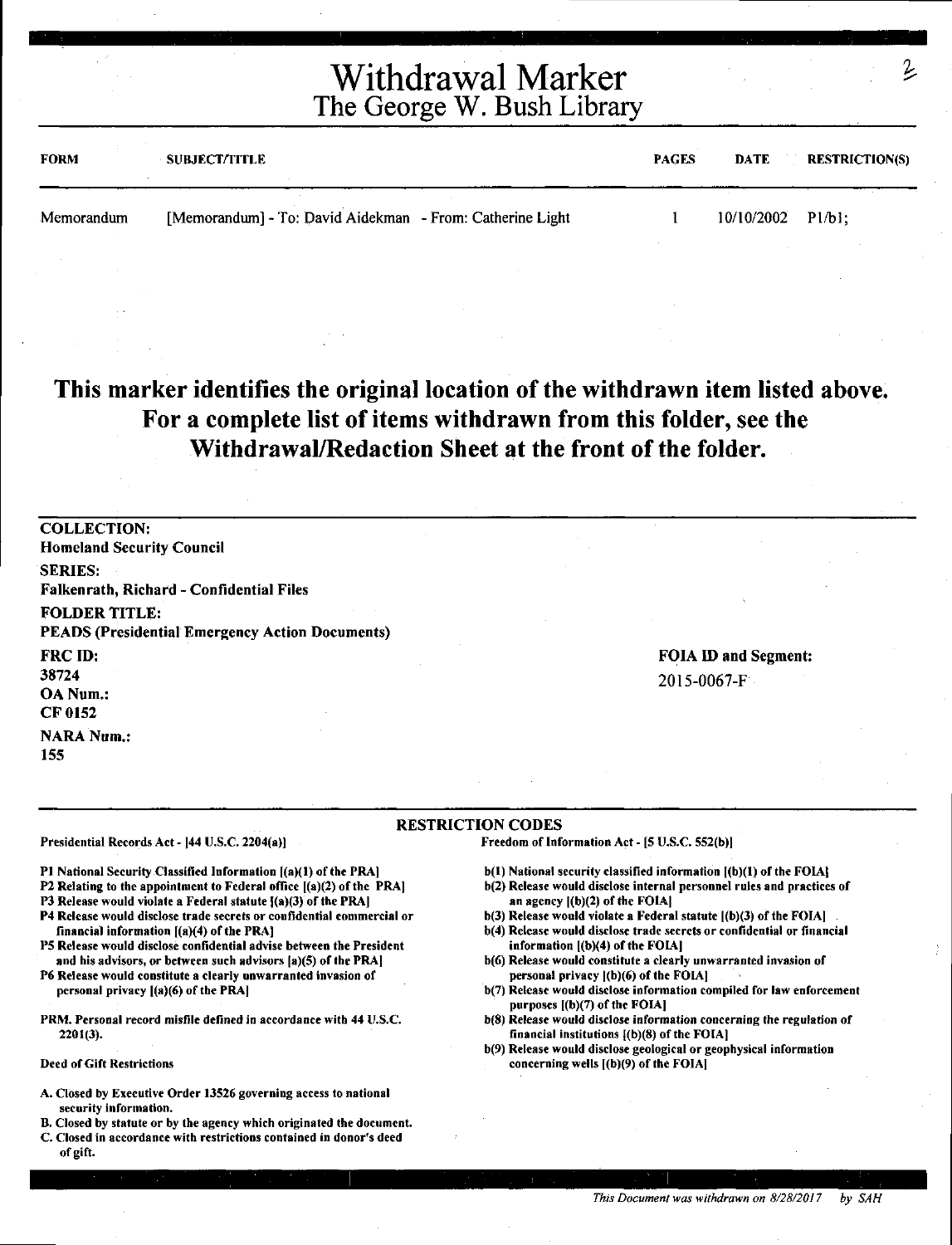# Withdrawal Marker The George W. Bush Library

| <b>FORM</b> | <b>SUBJECT/TITLE</b>                                      | <b>PAGES</b> | DATE                | <b>RESTRICTION(S)</b> |
|-------------|-----------------------------------------------------------|--------------|---------------------|-----------------------|
| Memorandum  | [Memorandum] - To: David Aidekman - From: Catherine Light |              | $10/10/2002$ Pl/bl; |                       |

### **This marker identifies the original location of the withdrawn item listed above. For a complete list of items withdrawn from this folder, see the Withdrawal/Redaction Sheet at the front of the folder.**

COLLECTION: Homeland Security Council SERIES: Falkenrath, Richard - Confidential Files FOLDER TITLE: PEADS (Presidential Emergency Action Documents) FRCID: 38724 OANum.: CF 0152 **NARA Num.:** 155

FOIA ID and Segment: 2015-0067-F

#### **RESTRICTION** CODES

Presidential Records Act - (44 U.S.C. 2204(a))

Pt National Security Classified Information [(a)(l) of the PRA]

- P2 Relating to the appointment to Federal office ((a)(2) of the PRA]
- P3 Release would violate a Federal statute  $[(a)(3)$  of the PRA]
- P4 Release would disclose trade secrets or confidential commercial or financial information [(a)(4) of the PRA)
- PS Release would disclose confidential advise between the President and his advisors, or between such advisors (a)(S) of the PRA)
- P6 Release would constitute a clearly unwarranted invasion of personal privacy ((a)(6) of the PRA)
- PRM. Personal record misfile defined in accordance with 44 U.S.C. 2201(3).

Deed of Gift Restrictions

- A. Closed by Executive Order 13526 governing access to national security information.
- B. Closed by statute or by the agency which originated the document.
- C. Closed in accordance with restrictions contained in donor's deed of gift.

b(l) National security classified information ((b)(l) of the FOIA)

Freedom of Information Act - [5 U.S.C. 552(b))

- b(2) Release would disclose internal personnel rules and practices of an agency  $[(b)(2)$  of the FOIA $]$
- b(3) Release would violate a Federal statute ((b)(3) of the FOIA)
- b(4) Release would disclose trade secrets or confidential or financial information  $[(b)(4)$  of the FOIA]
- b(6) Release would constitute a clearly unwarranted invasion of personal privacy  $|(b)(6)$  of the FOIA]
- b(7) Release would disclose information compiled for law enforcement purposes [(b)(7) of the FOIA]
- b(S) Release would disclose information concerning the regulation of financial institutions {(b)(S) of the FOIA)
- b(9) Release would disclose geological or geophysical information concerning wells ((b)(9) of the FOIA)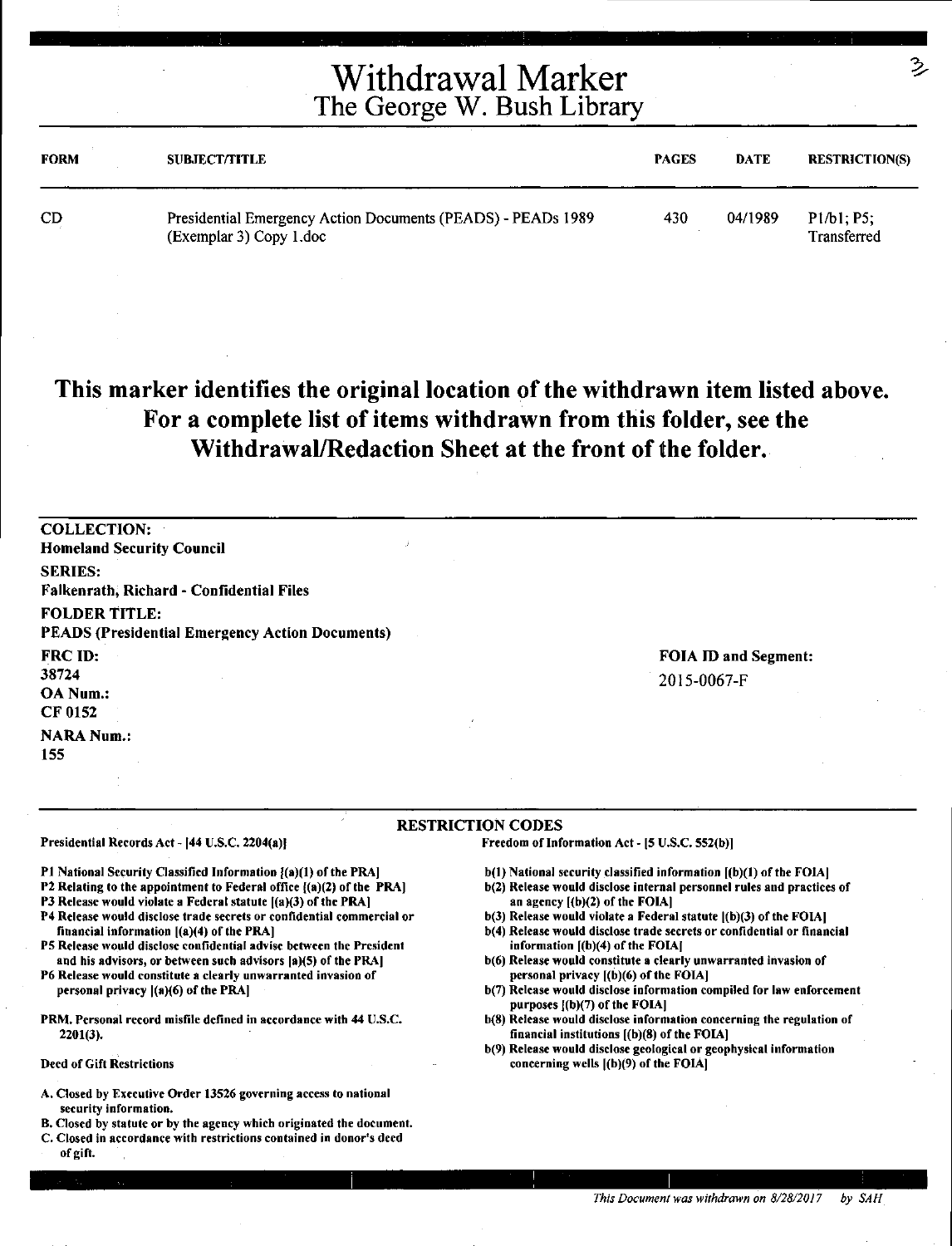## Withdrawal Marker The George W. Bush Library

| <b>FORM</b> | <b>SUBJECT/TITLE</b>                                                                    | <b>PAGES</b> | <b>DATE</b> | <b>RESTRICTION(S)</b>     |
|-------------|-----------------------------------------------------------------------------------------|--------------|-------------|---------------------------|
| CD          | Presidential Emergency Action Documents (PEADS) - PEADs 1989<br>(Exemplar 3) Copy 1.doc | 430          | 04/1989     | P1/b1; P5;<br>Transferred |

### **This marker identifies the original location of the withdrawn item listed above. For a complete list of items withdrawn from this folder, see the Withdrawal/Redaction Sheet at the front of the folder.**

| <b>COLLECTION:</b><br><b>Homeland Security Council</b>                         |                                     |
|--------------------------------------------------------------------------------|-------------------------------------|
| <b>SERIES:</b><br><b>Falkenrath, Richard - Confidential Files</b>              |                                     |
| <b>FOLDER TITLE:</b><br><b>PEADS (Presidential Emergency Action Documents)</b> |                                     |
| FRC ID:<br>38724<br>OA Num.:<br>CF 0152                                        | FOIA ID and Segment:<br>2015-0067-F |
| <b>NARA Num.:</b><br>155                                                       |                                     |

#### RESTRICTION CODES

Freedom of Information Act- (S U.S.C. 5S2(b)]

P1 National Security Classified Information  $[(a)(1)$  of the PRA]

Presidential Records Act - [44 U.S.C. 2204(a)]

- P2 Relating to the appointment to Federal office ((a)(2) of the PRA)
- P3 Release would violate a Federal statute ((a)(3) of the PRA)
- P4 Release would disclose trade secrets or confidential commercial or financial information ((a)(4) of the PRA)
- PS Release would disclose confidential advise between the President and his advisors, or between such advisors (a)(S) of the PRAJ
- P6 Release would constitute a clearly unwarranted invasion of personal privacy l(a)(6) of the PRAJ
- PRM. Personal record misfile defined in accordance with 44 U.S.C. 2201(3).
- Deed of Gift Restrictions
- A. Closed by Executive Order 13S26 governing access to national security information.
- B. Closed by statute or by the agency which originated the document.
- C. Closed in accordance with restrictions contained in donor's deed of gift.
- b(l) National security classified information [(b)(l) of the FOIAJ
- b(2) Release would disclose internal personnel rules and practices of an agency  $[(b)(2)$  of the FOIA]
- b(3) Release would violate a Federal statute ((b)(3) of the FOIAJ
- b(4) Release would disclose trade secrets or confidential or financial information [(b)(4) of the FOIAJ
- b(6) Release would constitute a clearly unwarranted invasion of personal privacy ((b)(6) of the FOIAJ
- b(7) Release would disclose information compiled for law enforcement purposes [(b)(7) of the FOIA]
- b(8) Release would disclose information concerning the regulation of financial institutions [(b)(8) of the FOIAJ
- b(9) Release would disclose geological or geophysical information concerning wells ((b)(9) of the FOIA)